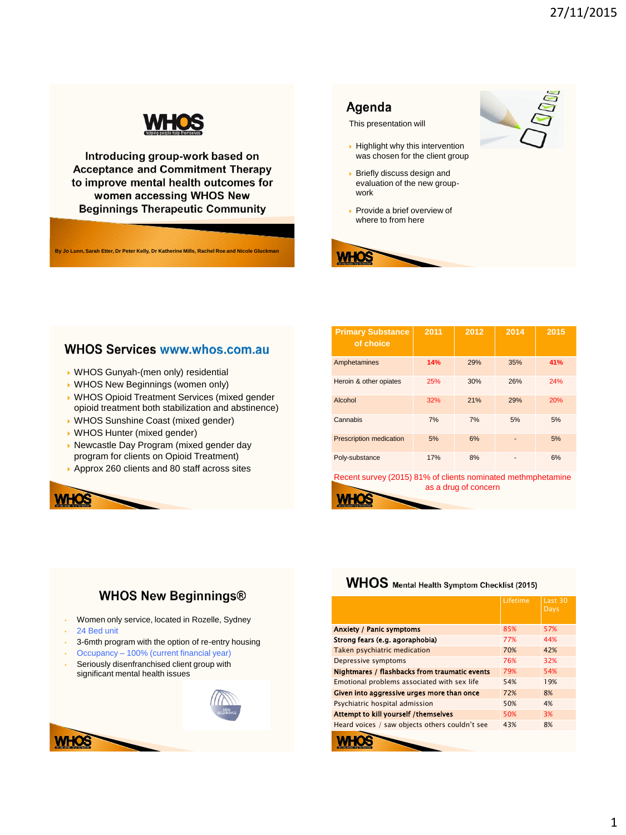

Introducing group-work based on **Acceptance and Commitment Therapy** to improve mental health outcomes for women accessing WHOS New **Beginnings Therapeutic Community** 

**By Jo Lunn, Sarah Etter, Dr Peter Kelly, Dr Katherine Mills, Rachel Roe and Nicole Gluckman**

#### Agenda

This presentation will

- $\rightarrow$  Highlight why this intervention was chosen for the client group
- **Briefly discuss design and** evaluation of the new groupwork
- Provide a brief overview of where to from here



**WHOS** 

#### **WHOS Services www.whos.com.au**

- WHOS Gunyah-(men only) residential
- WHOS New Beginnings (women only)
- WHOS Opioid Treatment Services (mixed gender opioid treatment both stabilization and abstinence)
- WHOS Sunshine Coast (mixed gender)
- WHOS Hunter (mixed gender)
- Newcastle Day Program (mixed gender day program for clients on Opioid Treatment)
- Approx 260 clients and 80 staff across sites



Recent survey (2015) 81% of clients nominated methmphetamine as a drug of concern

### **WHOS New Beginnings®**

- Women only service, located in Rozelle, Sydney
- 24 Bed unit
- 3-6mth program with the option of re-entry housing
- Occupancy 100% (current financial year)
- Seriously disenfranchised client group with significant mental health issues



### WHOS Mental Health Symptom Checklist (2015)

|                                                | Lifetime | Last 30<br>Days |
|------------------------------------------------|----------|-----------------|
| <b>Anxiety / Panic symptoms</b>                | 85%      | 57%             |
| Strong fears (e.g. agoraphobia)                | 77%      | 44%             |
| Taken psychiatric medication                   | 70%      | 42%             |
| Depressive symptoms                            | 76%      | 32%             |
| Nightmares / flashbacks from traumatic events  | 79%      | 54%             |
| Emotional problems associated with sex life    | 54%      | 19%             |
| Given into aggressive urges more than once     | 72%      | 8%              |
| Psychiatric hospital admission                 | 50%      | 4%              |
| Attempt to kill yourself /themselves           | 50%      | 3%              |
| Heard voices / saw objects others couldn't see | 43%      | 8%              |
|                                                |          |                 |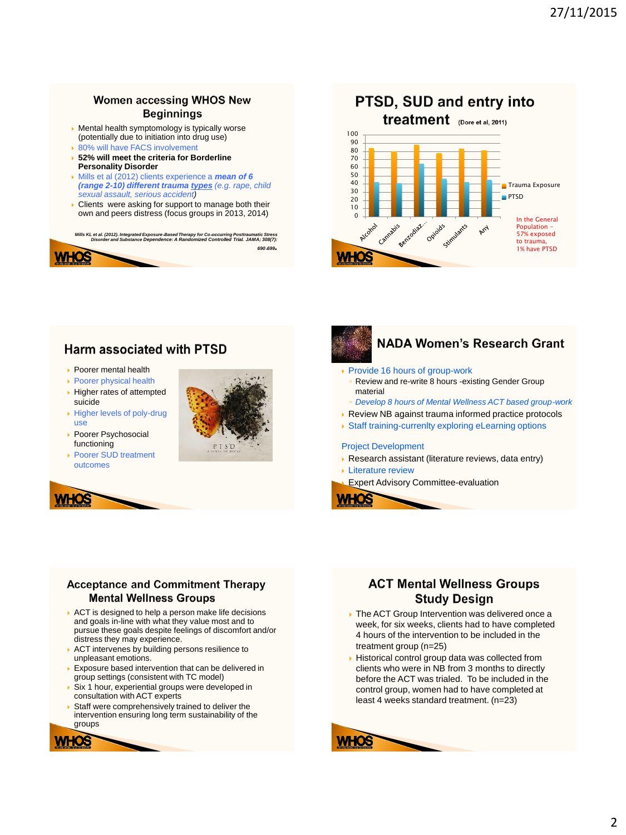### **Women accessing WHOS New Beginnings**

- Mental health symptomology is typically worse (potentially due to initiation into drug use)
- ▶ 80% will have FACS involvement
- **52% will meet the criteria for Borderline Personality Disorder**
- Mills et al (2012) clients experience a *mean of 6 (range 2-10) different trauma types (e.g. rape, child sexual assault, serious accident)*
- **Clients** were asking for support to manage both their own and peers distress (focus groups in 2013, 2014)

*Mills KL et al. (2012). Integrated Exposure*‐*Based Therapy for Co*‐*occurring Posttraumatic Stress Disorder and Substance Dependence: A Randomized Controlled Trial. JAMA; 308(7): <sup>690</sup>*‐*<sup>699</sup>.*



- ▶ Poorer mental health
- ▶ Poorer physical health
- $\rightarrow$  Higher rates of attempted suicide
- Higher levels of poly-drug use
- Poorer Psychosocial functioning
- Poorer SUD treatment outcomes









## **NADA Women's Research Grant**

- ▶ Provide 16 hours of group-work Review and re-write 8 hours -existing Gender Group material
- *Develop 8 hours of Mental Wellness ACT based group-work*
- ▶ Review NB against trauma informed practice protocols
- Staff training-currenlty exploring eLearning options

#### Project Development

- Research assistant (literature reviews, data entry)
- **Literature review**

Expert Advisory Committee-evaluation

#### **Acceptance and Commitment Therapy Mental Wellness Groups**

- ACT is designed to help a person make life decisions and goals in-line with what they value most and to pursue these goals despite feelings of discomfort and/or distress they may experience.
- ACT intervenes by building persons resilience to unpleasant emotions.
- Exposure based intervention that can be delivered in group settings (consistent with TC model)
- Six 1 hour, experiential groups were developed in consultation with ACT experts
- Staff were comprehensively trained to deliver the intervention ensuring long term sustainability of the groups



- **The ACT Group Intervention was delivered once a** week, for six weeks, clients had to have completed 4 hours of the intervention to be included in the treatment group (n=25)
- Historical control group data was collected from clients who were in NB from 3 months to directly before the ACT was trialed. To be included in the control group, women had to have completed at least 4 weeks standard treatment. (n=23)

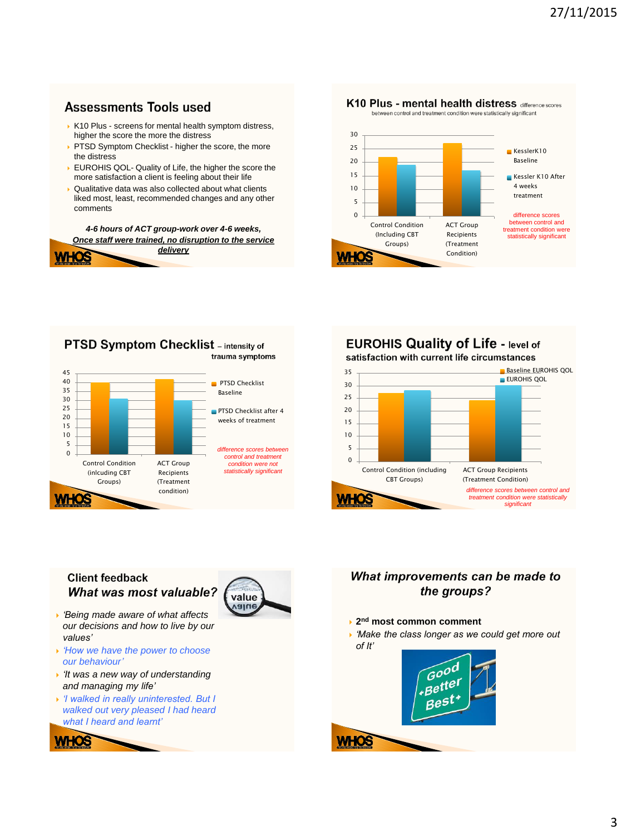# **Assessments Tools used**

**WHOS** 

- K10 Plus screens for mental health symptom distress. higher the score the more the distress
- PTSD Symptom Checklist higher the score, the more the distress
- EUROHIS QOL- Quality of Life, the higher the score the more satisfaction a client is feeling about their life
- Qualitative data was also collected about what clients liked most, least, recommended changes and any other comments

*4-6 hours of ACT group-work over 4-6 weeks, Once staff were trained, no disruption to the service delivery*





# **EUROHIS Quality of Life - level of**



### **Client feedback What was most valuable?**

- *'Being made aware of what affects our decisions and how to live by our values'*
- *'How we have the power to choose our behaviour'*
- *'It was a new way of understanding and managing my life'*
- *'I walked in really uninterested. But I walked out very pleased I had heard what I heard and learnt'*





## What improvements can be made to the groups?

- **2 nd most common comment**
- *'Make the class longer as we could get more out of It'*